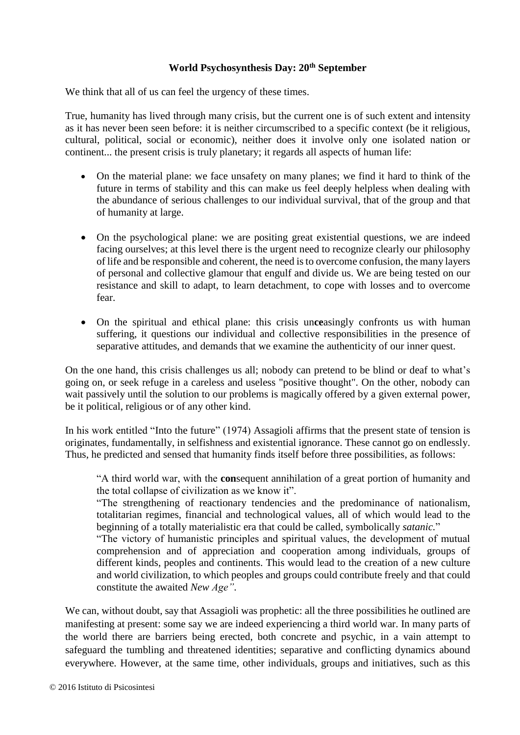## **World Psychosynthesis Day: 20th September**

We think that all of us can feel the urgency of these times.

True, humanity has lived through many crisis, but the current one is of such extent and intensity as it has never been seen before: it is neither circumscribed to a specific context (be it religious, cultural, political, social or economic), neither does it involve only one isolated nation or continent... the present crisis is truly planetary; it regards all aspects of human life:

- On the material plane: we face unsafety on many planes; we find it hard to think of the future in terms of stability and this can make us feel deeply helpless when dealing with the abundance of serious challenges to our individual survival, that of the group and that of humanity at large.
- On the psychological plane: we are positing great existential questions, we are indeed facing ourselves; at this level there is the urgent need to recognize clearly our philosophy of life and be responsible and coherent, the need is to overcome confusion, the many layers of personal and collective glamour that engulf and divide us. We are being tested on our resistance and skill to adapt, to learn detachment, to cope with losses and to overcome fear.
- On the spiritual and ethical plane: this crisis un**ce**asingly confronts us with human suffering, it questions our individual and collective responsibilities in the presence of separative attitudes, and demands that we examine the authenticity of our inner quest.

On the one hand, this crisis challenges us all; nobody can pretend to be blind or deaf to what's going on, or seek refuge in a careless and useless "positive thought". On the other, nobody can wait passively until the solution to our problems is magically offered by a given external power, be it political, religious or of any other kind.

In his work entitled "Into the future" (1974) Assagioli affirms that the present state of tension is originates, fundamentally, in selfishness and existential ignorance. These cannot go on endlessly. Thus, he predicted and sensed that humanity finds itself before three possibilities, as follows:

"A third world war, with the **con**sequent annihilation of a great portion of humanity and the total collapse of civilization as we know it".

"The strengthening of reactionary tendencies and the predominance of nationalism, totalitarian regimes, financial and technological values, all of which would lead to the beginning of a totally materialistic era that could be called, symbolically *satanic.*"

"The victory of humanistic principles and spiritual values, the development of mutual comprehension and of appreciation and cooperation among individuals, groups of different kinds, peoples and continents. This would lead to the creation of a new culture and world civilization, to which peoples and groups could contribute freely and that could constitute the awaited *New Age"*.

We can, without doubt, say that Assagioli was prophetic: all the three possibilities he outlined are manifesting at present: some say we are indeed experiencing a third world war. In many parts of the world there are barriers being erected, both concrete and psychic, in a vain attempt to safeguard the tumbling and threatened identities; separative and conflicting dynamics abound everywhere. However, at the same time, other individuals, groups and initiatives, such as this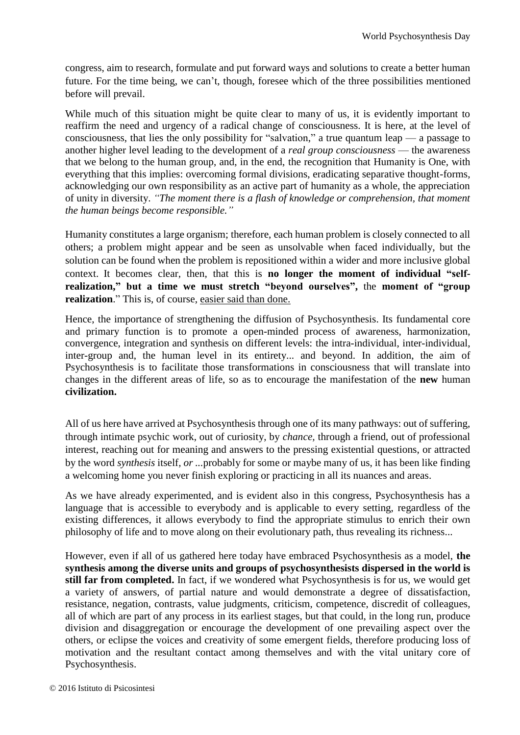congress, aim to research, formulate and put forward ways and solutions to create a better human future. For the time being, we can't, though, foresee which of the three possibilities mentioned before will prevail.

While much of this situation might be quite clear to many of us, it is evidently important to reaffirm the need and urgency of a radical change of consciousness. It is here, at the level of consciousness, that lies the only possibility for "salvation," a true quantum leap — a passage to another higher level leading to the development of a *real group consciousness* — the awareness that we belong to the human group, and, in the end, the recognition that Humanity is One, with everything that this implies: overcoming formal divisions, eradicating separative thought-forms, acknowledging our own responsibility as an active part of humanity as a whole, the appreciation of unity in diversity. *"The moment there is a flash of knowledge or comprehension, that moment the human beings become responsible."*

Humanity constitutes a large organism; therefore, each human problem is closely connected to all others; a problem might appear and be seen as unsolvable when faced individually, but the solution can be found when the problem is repositioned within a wider and more inclusive global context. It becomes clear, then, that this is **no longer the moment of individual "selfrealization," but a time we must stretch "beyond ourselves",** the **moment of "group realization**." This is, of course, easier said than done.

Hence, the importance of strengthening the diffusion of Psychosynthesis. Its fundamental core and primary function is to promote a open-minded process of awareness, harmonization, convergence, integration and synthesis on different levels: the intra-individual, inter-individual, inter-group and, the human level in its entirety... and beyond. In addition, the aim of Psychosynthesis is to facilitate those transformations in consciousness that will translate into changes in the different areas of life, so as to encourage the manifestation of the **new** human **civilization.**

All of us here have arrived at Psychosynthesis through one of its many pathways: out of suffering, through intimate psychic work, out of curiosity, by *chance,* through a friend, out of professional interest, reaching out for meaning and answers to the pressing existential questions, or attracted by the word *synthesis* itself*, or ...*probably for some or maybe many of us, it has been like finding a welcoming home you never finish exploring or practicing in all its nuances and areas.

As we have already experimented, and is evident also in this congress, Psychosynthesis has a language that is accessible to everybody and is applicable to every setting, regardless of the existing differences, it allows everybody to find the appropriate stimulus to enrich their own philosophy of life and to move along on their evolutionary path, thus revealing its richness...

However, even if all of us gathered here today have embraced Psychosynthesis as a model, **the synthesis among the diverse units and groups of psychosynthesists dispersed in the world is still far from completed.** In fact, if we wondered what Psychosynthesis is for us, we would get a variety of answers, of partial nature and would demonstrate a degree of dissatisfaction, resistance, negation, contrasts, value judgments, criticism, competence, discredit of colleagues, all of which are part of any process in its earliest stages, but that could, in the long run, produce division and disaggregation or encourage the development of one prevailing aspect over the others, or eclipse the voices and creativity of some emergent fields, therefore producing loss of motivation and the resultant contact among themselves and with the vital unitary core of Psychosynthesis.